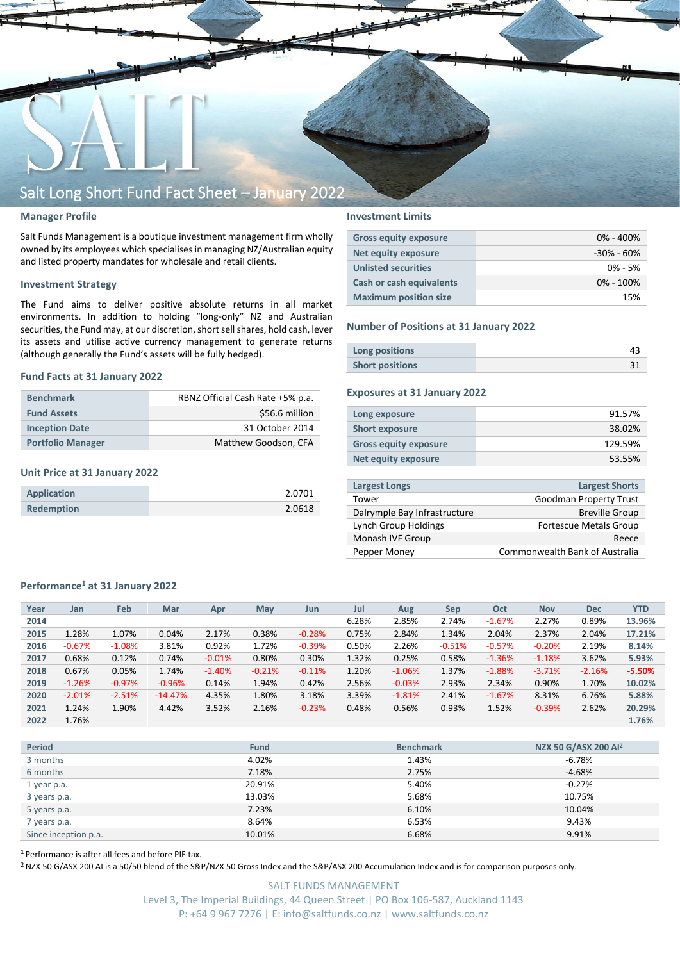

## **Manager Profile**

Salt Funds Management is a boutique investment management firm wholly owned by its employees which specialisesin managing NZ/Australian equity and listed property mandates for wholesale and retail clients.

### **Investment Strategy**

The Fund aims to deliver positive absolute returns in all market environments. In addition to holding "long-only" NZ and Australian securities, the Fund may, at our discretion, short sell shares, hold cash, lever its assets and utilise active currency management to generate returns (although generally the Fund's assets will be fully hedged).

### **Fund Facts at 31 January 2022**

| <b>Benchmark</b>         | RBNZ Official Cash Rate +5% p.a. |  |  |  |  |
|--------------------------|----------------------------------|--|--|--|--|
| <b>Fund Assets</b>       | \$56.6 million                   |  |  |  |  |
| <b>Inception Date</b>    | 31 October 2014                  |  |  |  |  |
| <b>Portfolio Manager</b> | Matthew Goodson, CFA             |  |  |  |  |

## **Unit Price at 31 January 2022**

| <b>Application</b> | 2.0701 |
|--------------------|--------|
| <b>Redemption</b>  | 2.0618 |

### **Investment Limits**

| <b>Gross equity exposure</b> | $0\% - 400\%$ |
|------------------------------|---------------|
| Net equity exposure          | -30% - 60%    |
| <b>Unlisted securities</b>   | $0\% - 5\%$   |
| Cash or cash equivalents     | $0\% - 100\%$ |
| <b>Maximum position size</b> | 15%           |

### **Number of Positions at 31 January 2022**

| Long positions         |  |
|------------------------|--|
| <b>Short positions</b> |  |

## **Exposures at 31 January 2022**

| Long exposure                | 91.57%  |
|------------------------------|---------|
| <b>Short exposure</b>        | 38.02%  |
| <b>Gross equity exposure</b> | 129.59% |
| Net equity exposure          | 53.55%  |
|                              |         |

| <b>Largest Longs</b>         | <b>Largest Shorts</b>                 |
|------------------------------|---------------------------------------|
| Tower                        | Goodman Property Trust                |
| Dalrymple Bay Infrastructure | <b>Breville Group</b>                 |
| Lynch Group Holdings         | <b>Fortescue Metals Group</b>         |
| Monash IVF Group             | Reece                                 |
| Pepper Money                 | <b>Commonwealth Bank of Australia</b> |
|                              |                                       |

## **Performance<sup>1</sup> at 31 January 2022**

| Year | Jan      | Feb      | Mar       | Apr      | <b>May</b> | Jun      | Jul   | Aug      | <b>Sep</b> | Oct      | <b>Nov</b> | <b>Dec</b> | <b>YTD</b> |
|------|----------|----------|-----------|----------|------------|----------|-------|----------|------------|----------|------------|------------|------------|
| 2014 |          |          |           |          |            |          | 6.28% | 2.85%    | 2.74%      | $-1.67%$ | 2.27%      | 0.89%      | 13.96%     |
| 2015 | 1.28%    | 1.07%    | 0.04%     | 2.17%    | 0.38%      | $-0.28%$ | 0.75% | 2.84%    | 1.34%      | 2.04%    | 2.37%      | 2.04%      | 17.21%     |
| 2016 | $-0.67%$ | $-1.08%$ | 3.81%     | 0.92%    | 1.72%      | $-0.39%$ | 0.50% | 2.26%    | $-0.51%$   | $-0.57%$ | $-0.20%$   | 2.19%      | 8.14%      |
| 2017 | 0.68%    | 0.12%    | 0.74%     | $-0.01%$ | 0.80%      | 0.30%    | 1.32% | 0.25%    | 0.58%      | $-1.36%$ | $-1.18%$   | 3.62%      | 5.93%      |
| 2018 | 0.67%    | 0.05%    | 1.74%     | $-1.40%$ | $-0.21%$   | $-0.11%$ | 1.20% | $-1.06%$ | 1.37%      | $-1.88%$ | $-3.71%$   | $-2.16%$   | $-5.50%$   |
| 2019 | $-1.26%$ | $-0.97%$ | $-0.96%$  | 0.14%    | 1.94%      | 0.42%    | 2.56% | $-0.03%$ | 2.93%      | 2.34%    | 0.90%      | 1.70%      | 10.02%     |
| 2020 | $-2.01%$ | $-2.51%$ | $-14.47%$ | 4.35%    | 1.80%      | 3.18%    | 3.39% | $-1.81%$ | 2.41%      | $-1.67%$ | 8.31%      | 6.76%      | 5.88%      |
| 2021 | 1.24%    | 1.90%    | 4.42%     | 3.52%    | 2.16%      | $-0.23%$ | 0.48% | 0.56%    | 0.93%      | 1.52%    | $-0.39%$   | 2.62%      | 20.29%     |
| 2022 | 1.76%    |          |           |          |            |          |       |          |            |          |            |            | 1.76%      |

| <b>Period</b>        | <b>Fund</b> | <b>Benchmark</b> | NZX 50 G/ASX 200 Al <sup>2</sup> |
|----------------------|-------------|------------------|----------------------------------|
| 3 months             | 4.02%       | 1.43%            | $-6.78%$                         |
| 6 months             | 7.18%       | 2.75%            | $-4.68%$                         |
| 1 year p.a.          | 20.91%      | 5.40%            | $-0.27%$                         |
| 3 years p.a.         | 13.03%      | 5.68%            | 10.75%                           |
| 5 years p.a.         | 7.23%       | 6.10%            | 10.04%                           |
| 7 years p.a.         | 8.64%       | 6.53%            | 9.43%                            |
| Since inception p.a. | 10.01%      | 6.68%            | 9.91%                            |

<sup>1</sup> Performance is after all fees and before PIE tax.

<sup>2</sup> NZX 50 G/ASX 200 AI is a 50/50 blend of the S&P/NZX 50 Gross Index and the S&P/ASX 200 Accumulation Index and is for comparison purposes only.

SALT FUNDS MANAGEMENT Level 3, The Imperial Buildings, 44 Queen Street | PO Box 106-587, Auckland 1143 P: +64 9 967 7276 | E: info@saltfunds.co.nz | www.saltfunds.co.nz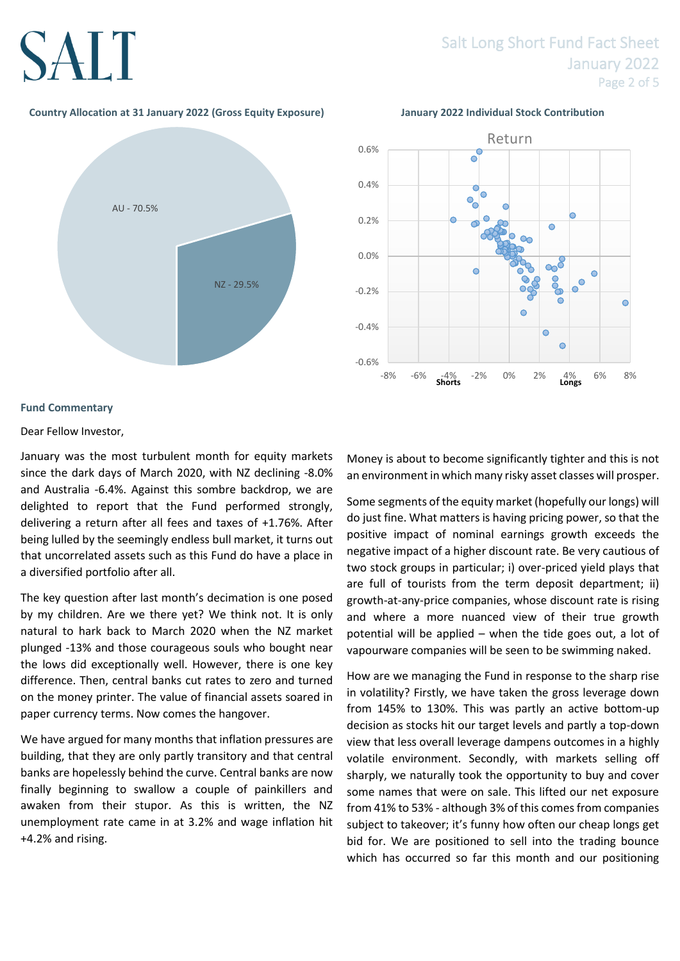# **SALT**

# Salt Long Short Fund Fact Sheet January 2022 Page 2 of 5

# **Country Allocation at 31 January 2022 (Gross Equity Exposure) January 2022 Individual Stock Contribution**





# **Fund Commentary**

# Dear Fellow Investor,

January was the most turbulent month for equity markets since the dark days of March 2020, with NZ declining -8.0% and Australia -6.4%. Against this sombre backdrop, we are delighted to report that the Fund performed strongly, delivering a return after all fees and taxes of +1.76%. After being lulled by the seemingly endless bull market, it turns out that uncorrelated assets such as this Fund do have a place in a diversified portfolio after all.

The key question after last month's decimation is one posed by my children. Are we there yet? We think not. It is only natural to hark back to March 2020 when the NZ market plunged -13% and those courageous souls who bought near the lows did exceptionally well. However, there is one key difference. Then, central banks cut rates to zero and turned on the money printer. The value of financial assets soared in paper currency terms. Now comes the hangover.

We have argued for many months that inflation pressures are building, that they are only partly transitory and that central banks are hopelessly behind the curve. Central banks are now finally beginning to swallow a couple of painkillers and awaken from their stupor. As this is written, the NZ unemployment rate came in at 3.2% and wage inflation hit +4.2% and rising.

Money is about to become significantly tighter and this is not an environment in which many risky asset classes will prosper.

Some segments of the equity market (hopefully our longs) will do just fine. What matters is having pricing power, so that the positive impact of nominal earnings growth exceeds the negative impact of a higher discount rate. Be very cautious of two stock groups in particular; i) over-priced yield plays that are full of tourists from the term deposit department; ii) growth-at-any-price companies, whose discount rate is rising and where a more nuanced view of their true growth potential will be applied – when the tide goes out, a lot of vapourware companies will be seen to be swimming naked.

How are we managing the Fund in response to the sharp rise in volatility? Firstly, we have taken the gross leverage down from 145% to 130%. This was partly an active bottom-up decision as stocks hit our target levels and partly a top-down view that less overall leverage dampens outcomes in a highly volatile environment. Secondly, with markets selling off sharply, we naturally took the opportunity to buy and cover some names that were on sale. This lifted our net exposure from 41% to 53% - although 3% of this comes from companies subject to takeover; it's funny how often our cheap longs get bid for. We are positioned to sell into the trading bounce which has occurred so far this month and our positioning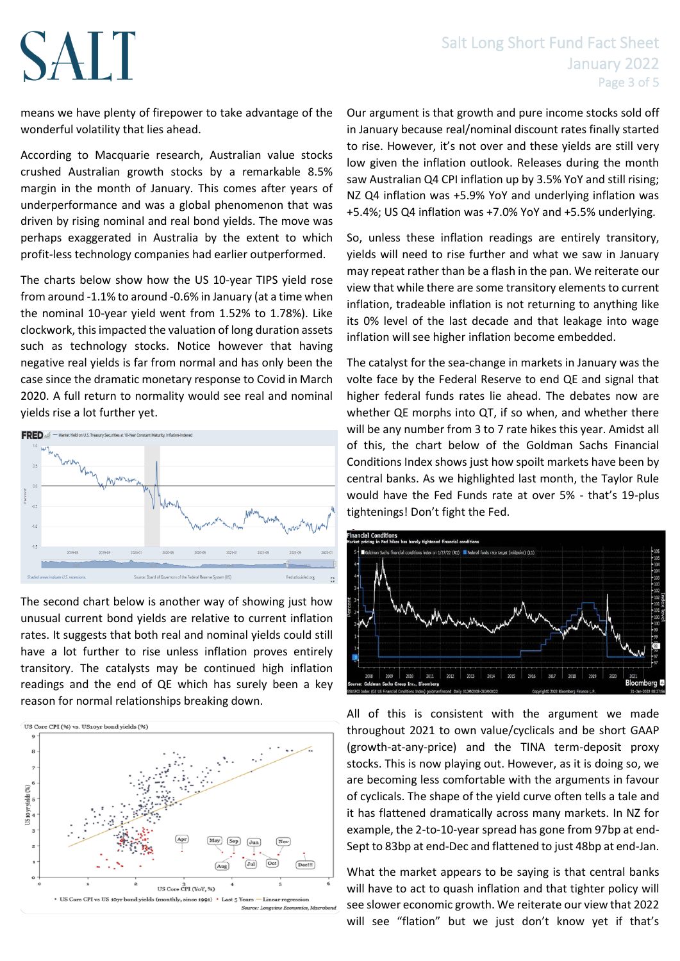# SALT

# Salt Long Short Fund Fact Sheet January 2022 Page 3 of 5

means we have plenty of firepower to take advantage of the wonderful volatility that lies ahead.

According to Macquarie research, Australian value stocks crushed Australian growth stocks by a remarkable 8.5% margin in the month of January. This comes after years of underperformance and was a global phenomenon that was driven by rising nominal and real bond yields. The move was perhaps exaggerated in Australia by the extent to which profit-less technology companies had earlier outperformed.

The charts below show how the US 10-year TIPS yield rose from around -1.1% to around -0.6% in January (at a time when the nominal 10-year yield went from 1.52% to 1.78%). Like clockwork, this impacted the valuation of long duration assets such as technology stocks. Notice however that having negative real yields is far from normal and has only been the case since the dramatic monetary response to Covid in March 2020. A full return to normality would see real and nominal yields rise a lot further yet.



The second chart below is another way of showing just how unusual current bond yields are relative to current inflation rates. It suggests that both real and nominal yields could still have a lot further to rise unless inflation proves entirely transitory. The catalysts may be continued high inflation readings and the end of QE which has surely been a key reason for normal relationships breaking down.



Our argument is that growth and pure income stocks sold off in January because real/nominal discount rates finally started to rise. However, it's not over and these yields are still very low given the inflation outlook. Releases during the month saw Australian Q4 CPI inflation up by 3.5% YoY and still rising; NZ Q4 inflation was +5.9% YoY and underlying inflation was +5.4%; US Q4 inflation was +7.0% YoY and +5.5% underlying.

So, unless these inflation readings are entirely transitory, yields will need to rise further and what we saw in January may repeat rather than be a flash in the pan. We reiterate our view that while there are some transitory elements to current inflation, tradeable inflation is not returning to anything like its 0% level of the last decade and that leakage into wage inflation will see higher inflation become embedded.

The catalyst for the sea-change in markets in January was the volte face by the Federal Reserve to end QE and signal that higher federal funds rates lie ahead. The debates now are whether QE morphs into QT, if so when, and whether there will be any number from 3 to 7 rate hikes this year. Amidst all of this, the chart below of the Goldman Sachs Financial Conditions Index shows just how spoilt markets have been by central banks. As we highlighted last month, the Taylor Rule would have the Fed Funds rate at over 5% - that's 19-plus tightenings! Don't fight the Fed.



All of this is consistent with the argument we made throughout 2021 to own value/cyclicals and be short GAAP (growth-at-any-price) and the TINA term-deposit proxy stocks. This is now playing out. However, as it is doing so, we are becoming less comfortable with the arguments in favour of cyclicals. The shape of the yield curve often tells a tale and it has flattened dramatically across many markets. In NZ for example, the 2-to-10-year spread has gone from 97bp at end-Sept to 83bp at end-Dec and flattened to just 48bp at end-Jan.

What the market appears to be saying is that central banks will have to act to quash inflation and that tighter policy will see slower economic growth. We reiterate our view that 2022 will see "flation" but we just don't know yet if that's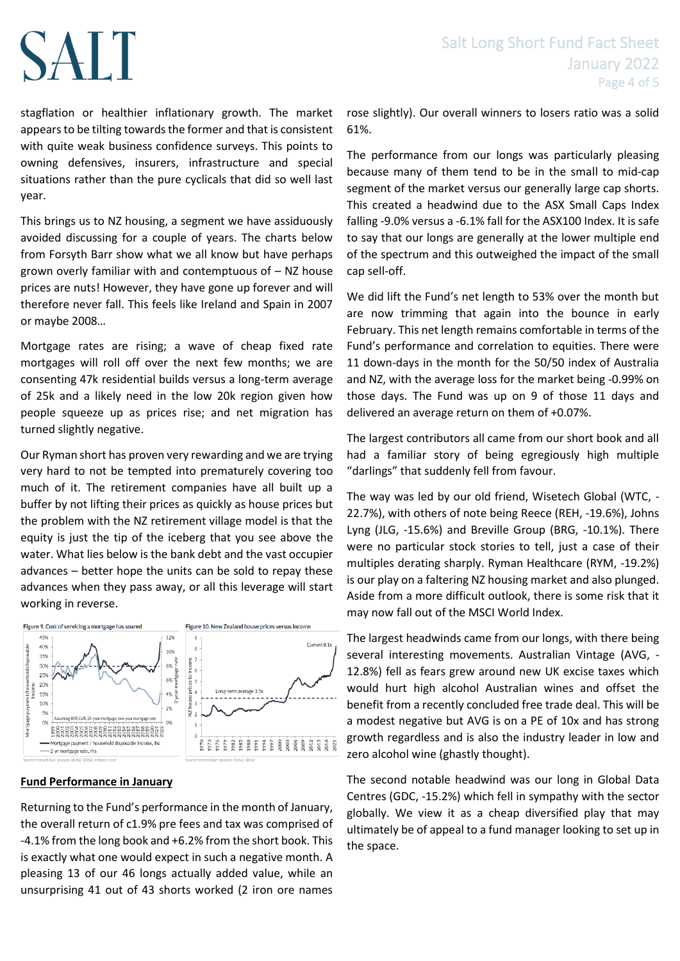# Salt Long Short Fund Fact Sheet January 2022 Page 4 of 5

# SALT

stagflation or healthier inflationary growth. The market appears to be tilting towards the former and that is consistent with quite weak business confidence surveys. This points to owning defensives, insurers, infrastructure and special situations rather than the pure cyclicals that did so well last year.

This brings us to NZ housing, a segment we have assiduously avoided discussing for a couple of years. The charts below from Forsyth Barr show what we all know but have perhaps grown overly familiar with and contemptuous of – NZ house prices are nuts! However, they have gone up forever and will therefore never fall. This feels like Ireland and Spain in 2007 or maybe 2008…

Mortgage rates are rising; a wave of cheap fixed rate mortgages will roll off over the next few months; we are consenting 47k residential builds versus a long-term average of 25k and a likely need in the low 20k region given how people squeeze up as prices rise; and net migration has turned slightly negative.

Our Ryman short has proven very rewarding and we are trying very hard to not be tempted into prematurely covering too much of it. The retirement companies have all built up a buffer by not lifting their prices as quickly as house prices but the problem with the NZ retirement village model is that the equity is just the tip of the iceberg that you see above the water. What lies below is the bank debt and the vast occupier advances – better hope the units can be sold to repay these advances when they pass away, or all this leverage will start working in reverse.



# **Fund Performance in January**

Returning to the Fund's performance in the month of January, the overall return of c1.9% pre fees and tax was comprised of -4.1% from the long book and +6.2% from the short book. This is exactly what one would expect in such a negative month. A pleasing 13 of our 46 longs actually added value, while an unsurprising 41 out of 43 shorts worked (2 iron ore names

rose slightly). Our overall winners to losers ratio was a solid 61%.

The performance from our longs was particularly pleasing because many of them tend to be in the small to mid-cap segment of the market versus our generally large cap shorts. This created a headwind due to the ASX Small Caps Index falling -9.0% versus a -6.1% fall for the ASX100 Index. It is safe to say that our longs are generally at the lower multiple end of the spectrum and this outweighed the impact of the small cap sell-off.

We did lift the Fund's net length to 53% over the month but are now trimming that again into the bounce in early February. This net length remains comfortable in terms of the Fund's performance and correlation to equities. There were 11 down-days in the month for the 50/50 index of Australia and NZ, with the average loss for the market being -0.99% on those days. The Fund was up on 9 of those 11 days and delivered an average return on them of +0.07%.

The largest contributors all came from our short book and all had a familiar story of being egregiously high multiple "darlings" that suddenly fell from favour.

The way was led by our old friend, Wisetech Global (WTC, - 22.7%), with others of note being Reece (REH, -19.6%), Johns Lyng (JLG, -15.6%) and Breville Group (BRG, -10.1%). There were no particular stock stories to tell, just a case of their multiples derating sharply. Ryman Healthcare (RYM, -19.2%) is our play on a faltering NZ housing market and also plunged. Aside from a more difficult outlook, there is some risk that it may now fall out of the MSCI World Index.

The largest headwinds came from our longs, with there being several interesting movements. Australian Vintage (AVG, - 12.8%) fell as fears grew around new UK excise taxes which would hurt high alcohol Australian wines and offset the benefit from a recently concluded free trade deal. This will be a modest negative but AVG is on a PE of 10x and has strong growth regardless and is also the industry leader in low and zero alcohol wine (ghastly thought).

The second notable headwind was our long in Global Data Centres (GDC, -15.2%) which fell in sympathy with the sector globally. We view it as a cheap diversified play that may ultimately be of appeal to a fund manager looking to set up in the space.